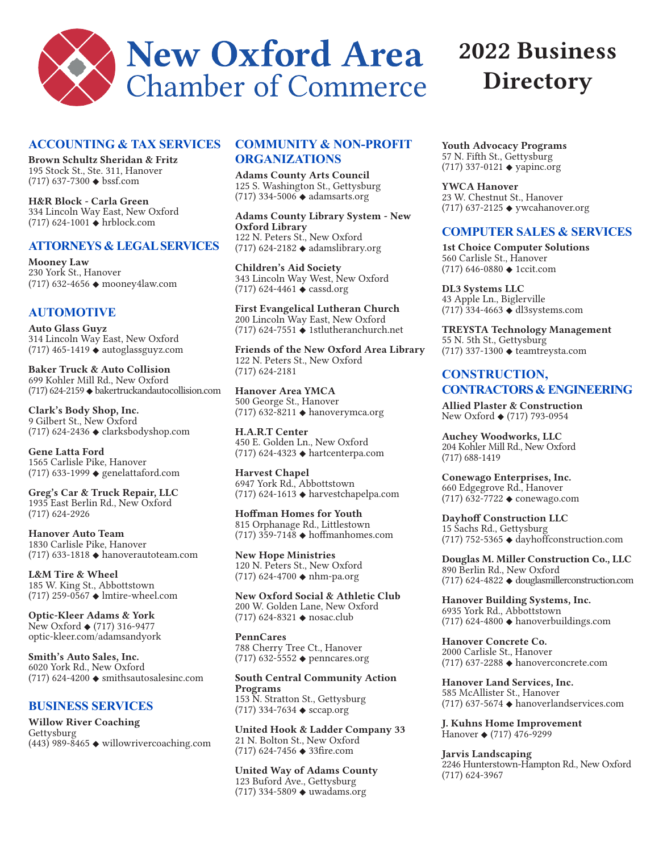

## **ACCOUNTING & TAX SERVICES**

**Brown Schultz Sheridan & Fritz** 195 Stock St., Ste. 311, Hanover (717) 637-7300 ◆ bssf.com

**H&R Block - Carla Green** 334 Lincoln Way East, New Oxford (717) 624-1001 ◆ hrblock.com

#### **ATTORNEYS & LEGAL SERVICES**

**Mooney Law**  230 York St., Hanover (717) 632-4656 ◆ mooney4law.com

# **AUTOMOTIVE**

**Auto Glass Guyz** 314 Lincoln Way East, New Oxford (717) 465-1419 ◆ autoglassguyz.com

**Baker Truck & Auto Collision** 699 Kohler Mill Rd., New Oxford (717) 624-2159 ◆ bakertruckandautocollision.com

**Clark's Body Shop, Inc.** 9 Gilbert St., New Oxford (717) 624-2436 ◆ clarksbodyshop.com

**Gene Latta Ford** 1565 Carlisle Pike, Hanover (717) 633-1999 ◆ genelattaford.com

**Greg's Car & Truck Repair, LLC** 1935 East Berlin Rd., New Oxford (717) 624-2926

**Hanover Auto Team** 1830 Carlisle Pike, Hanover (717) 633-1818 ◆ hanoverautoteam.com

**L&M Tire & Wheel** 185 W. King St., Abbottstown (717) 259-0567 ◆ lmtire-wheel.com

**Optic-Kleer Adams & York** New Oxford ◆ (717) 316-9477 optic-kleer.com/adamsandyork

**Smith's Auto Sales, Inc.** 6020 York Rd., New Oxford (717) 624-4200 ◆ smithsautosalesinc.com

## **BUSINESS SERVICES**

**Willow River Coaching** Gettysburg  $(443)$  989-8465  $\triangleleft$  willowrivercoaching.com

# **COMMUNITY & NON-PROFIT ORGANIZATIONS**

**Adams County Arts Council** 125 S. Washington St., Gettysburg (717) 334-5006 ◆ adamsarts.org

**Adams County Library System - New Oxford Library**  122 N. Peters St., New Oxford (717) 624-2182 ◆ adamslibrary.org

**Children's Aid Society** 343 Lincoln Way West, New Oxford (717) 624-4461 ◆ cassd.org

**First Evangelical Lutheran Church** 200 Lincoln Way East, New Oxford (717) 624-7551 ◆ 1stlutheranchurch.net

**Friends of the New Oxford Area Library** 122 N. Peters St., New Oxford (717) 624-2181

**Hanover Area YMCA**  500 George St., Hanover (717) 632-8211 ◆ hanoverymca.org

**H.A.R.T Center** 450 E. Golden Ln., New Oxford (717) 624-4323 ◆ hartcenterpa.com

**Harvest Chapel**  6947 York Rd., Abbottstown (717) 624-1613 ◆ harvestchapelpa.com

**Hoffman Homes for Youth** 815 Orphanage Rd., Littlestown (717) 359-7148 ◆ hoffmanhomes.com

**New Hope Ministries** 120 N. Peters St., New Oxford (717) 624-4700 ◆ nhm-pa.org

**New Oxford Social & Athletic Club** 200 W. Golden Lane, New Oxford (717) 624-8321 ◆ nosac.club

**PennCares** 788 Cherry Tree Ct., Hanover (717) 632-5552 ◆ penncares.org

**South Central Community Action Programs** 153 N. Stratton St., Gettysburg (717) 334-7634 ◆ sccap.org

**United Hook & Ladder Company 33** 21 N. Bolton St., New Oxford (717) 624-7456 ◆ 33fire.com

**United Way of Adams County** 123 Buford Ave., Gettysburg (717) 334-5809 ◆ uwadams.org

# **2022 Business Directory**

**Youth Advocacy Programs** 57 N. Fifth St., Gettysburg (717) 337-0121 ◆ yapinc.org

**YWCA Hanover** 23 W. Chestnut St., Hanover (717) 637-2125 ◆ ywcahanover.org

## **COMPUTER SALES & SERVICES**

**1st Choice Computer Solutions** 560 Carlisle St., Hanover (717) 646-0880 ◆ 1ccit.com

**DL3 Systems LLC** 43 Apple Ln., Biglerville  $(717)$  334-4663  $\triangleleft$  dl3systems.com

**TREYSTA Technology Management** 55 N. 5th St., Gettysburg (717) 337-1300 ◆ teamtreysta.com

# **CONSTRUCTION, CONTRACTORS & ENGINEERING**

**Allied Plaster & Construction** New Oxford ◆ (717) 793-0954

**Auchey Woodworks, LLC** 204 Kohler Mill Rd., New Oxford (717) 688-1419

**Conewago Enterprises, Inc.** 660 Edgegrove Rd., Hanover (717) 632-7722 ◆ conewago.com

**Dayhoff Construction LLC** 15 Sachs Rd., Gettysburg (717) 752-5365 ◆ dayhoffconstruction.com

**Douglas M. Miller Construction Co., LLC** 890 Berlin Rd., New Oxford (717) 624-4822 ◆ douglasmillerconstruction.com

**Hanover Building Systems, Inc.** 6935 York Rd., Abbottstown  $(717)$  624-4800  $\triangleleft$  hanoverbuildings.com

**Hanover Concrete Co.** 2000 Carlisle St., Hanover (717) 637-2288 ◆ hanoverconcrete.com

**Hanover Land Services, Inc.**  585 McAllister St., Hanover (717) 637-5674 ◆ hanoverlandservices.com

**J. Kuhns Home Improvement** Hanover ◆ (717) 476-9299

## **Jarvis Landscaping**

2246 Hunterstown-Hampton Rd., New Oxford (717) 624-3967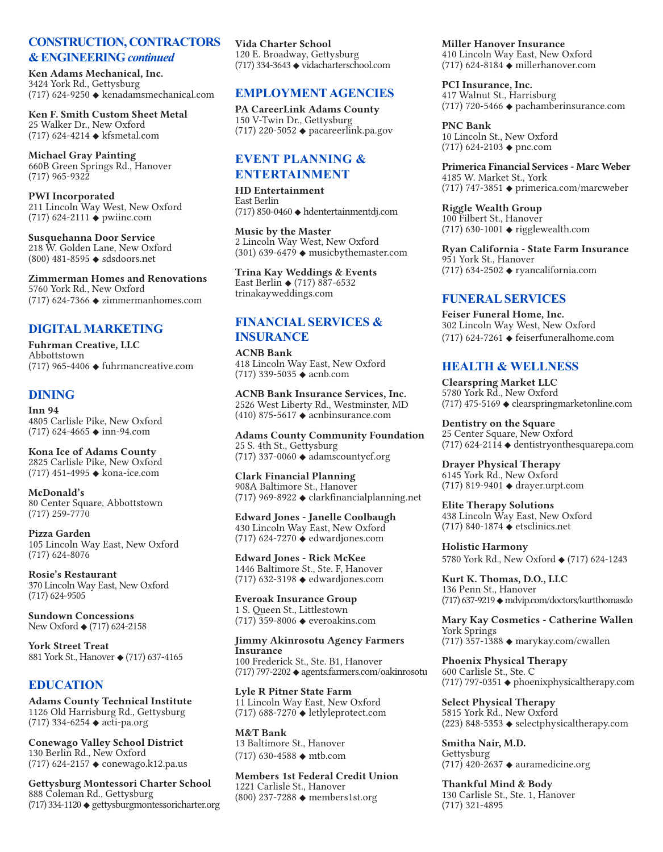## **CONSTRUCTION, CONTRACTORS & ENGINEERING** *continued*

**Ken Adams Mechanical, Inc.** 3424 York Rd., Gettysburg (717) 624-9250 ◆ kenadamsmechanical.com

**Ken F. Smith Custom Sheet Metal** 25 Walker Dr., New Oxford (717) 624-4214 ◆ kfsmetal.com

**Michael Gray Painting** 660B Green Springs Rd., Hanover (717) 965-9322

**PWI Incorporated** 211 Lincoln Way West, New Oxford (717) 624-2111 ◆ pwiinc.com

**Susquehanna Door Service** 218 W. Golden Lane, New Oxford (800) 481-8595 ◆ sdsdoors.net

**Zimmerman Homes and Renovations** 5760 York Rd., New Oxford (717) 624-7366 ◆ zimmermanhomes.com

# **DIGITAL MARKETING**

**Fuhrman Creative, LLC** Abbottstown (717) 965-4406  $\triangle$  fuhrmancreative.com

# **DINING**

**Inn 94** 4805 Carlisle Pike, New Oxford (717) 624-4665 ◆ inn-94.com

**Kona Ice of Adams County** 2825 Carlisle Pike, New Oxford (717) 451-4995 ◆ kona-ice.com

**McDonald's** 80 Center Square, Abbottstown (717) 259-7770

**Pizza Garden** 105 Lincoln Way East, New Oxford (717) 624-8076

**Rosie's Restaurant** 370 Lincoln Way East, New Oxford (717) 624-9505

**Sundown Concessions** New Oxford ◆ (717) 624-2158

**York Street Treat** 881 York St., Hanover ◆ (717) 637-4165

# **EDUCATION**

**Adams County Technical Institute** 1126 Old Harrisburg Rd., Gettysburg (717) 334-6254 ◆ acti-pa.org

**Conewago Valley School District** 130 Berlin Rd., New Oxford (717) 624-2157 ◆ conewago.k12.pa.us

**Gettysburg Montessori Charter School** 888 Coleman Rd., Gettysburg (717) 334-1120 ◆ gettysburgmontessoricharter.org **Vida Charter School** 120 E. Broadway, Gettysburg (717) 334-3643 ◆ vidacharterschool.com

# **EMPLOYMENT AGENCIES**

**PA CareerLink Adams County** 150 V-Twin Dr., Gettysburg (717) 220-5052  $\leftrightarrow$  pacareerlink.pa.gov

## **EVENT PLANNING & ENTERTAINMENT**

**HD Entertainment** East Berlin (717) 850-0460 ◆ hdentertainmentdj.com

**Music by the Master** 2 Lincoln Way West, New Oxford (301) 639-6479  $\leftrightarrow$  musicbythemaster.com

**Trina Kay Weddings & Events** East Berlin ◆ (717) 887-6532 trinakayweddings.com

# **FINANCIAL SERVICES & INSURANCE**

**ACNB Bank** 418 Lincoln Way East, New Oxford (717) 339-5035 ◆ acnb.com

**ACNB Bank Insurance Services, Inc.** 2526 West Liberty Rd., Westminster, MD (410) 875-5617 ◆ acnbinsurance.com

**Adams County Community Foundation** 25 S. 4th St., Gettysburg (717) 337-0060 ◆ adamscountycf.org

**Clark Financial Planning** 908A Baltimore St., Hanover (717) 969-8922 ◆ clarkfinancialplanning.net

**Edward Jones - Janelle Coolbaugh** 430 Lincoln Way East, New Oxford (717) 624-7270 ◆ edwardjones.com

**Edward Jones - Rick McKee** 1446 Baltimore St., Ste. F, Hanover (717) 632-3198 ◆ edwardjones.com

**Everoak Insurance Group** 1 S. Queen St., Littlestown (717) 359-8006 ◆ everoakins.com

#### **Jimmy Akinrosotu Agency Farmers Insurance**

100 Frederick St., Ste. B1, Hanover (717) 797-2202 ◆ agents.farmers.com/oakinrosotu

**Lyle R Pitner State Farm** 11 Lincoln Way East, New Oxford (717) 688-7270 ◆ letlyleprotect.com

**M&T Bank**  13 Baltimore St., Hanover (717) 630-4588 ◆ mtb.com

**Members 1st Federal Credit Union** 1221 Carlisle St., Hanover (800) 237-7288 ◆ members1st.org

**Miller Hanover Insurance** 410 Lincoln Way East, New Oxford (717) 624-8184 ◆ millerhanover.com

**PCI Insurance, Inc.** 417 Walnut St., Harrisburg (717) 720-5466 ◆ pachamberinsurance.com

**PNC Bank** 10 Lincoln St., New Oxford (717) 624-2103 ◆ pnc.com

**Primerica Financial Services - Marc Weber** 4185 W. Market St., York (717) 747-3851 ◆ primerica.com/marcweber

**Riggle Wealth Group** 100 Filbert St., Hanover (717) 630-1001 ◆ rigglewealth.com

**Ryan California - State Farm Insurance** 951 York St., Hanover (717) 634-2502 ◆ ryancalifornia.com

# **FUNERAL SERVICES**

**Feiser Funeral Home, Inc.** 302 Lincoln Way West, New Oxford (717) 624-7261 ◆ feiserfuneralhome.com

# **HEALTH & WELLNESS**

**Clearspring Market LLC** 5780 York Rd., New Oxford (717) 475-5169 ◆ clearspringmarketonline.com

**Dentistry on the Square** 25 Center Square, New Oxford  $(717)$  624-2114  $\triangleleft$  dentistryonthesquarepa.com

**Drayer Physical Therapy** 6145 York Rd., New Oxford (717) 819-9401 ◆ drayer.urpt.com

**Elite Therapy Solutions** 438 Lincoln Way East, New Oxford (717) 840-1874 ◆ etsclinics.net

**Holistic Harmony** 5780 York Rd., New Oxford ◆ (717) 624-1243

**Kurt K. Thomas, D.O., LLC** 136 Penn St., Hanover (717) 637-9219 ◆ mdvip.com/doctors/kurtthomasdo

**Mary Kay Cosmetics - Catherine Wallen** York Springs (717) 357-1388 ◆ marykay.com/cwallen

**Phoenix Physical Therapy** 600 Carlisle St., Ste. C (717) 797-0351 ◆ phoenixphysicaltherapy.com

**Select Physical Therapy** 5815 York Rd., New Oxford (223) 848-5353 ◆ selectphysicaltherapy.com

**Smitha Nair, M.D.** Gettysburg  $(717)$  420-2637  $\triangle$  auramedicine.org

**Thankful Mind & Body** 130 Carlisle St., Ste. 1, Hanover (717) 321-4895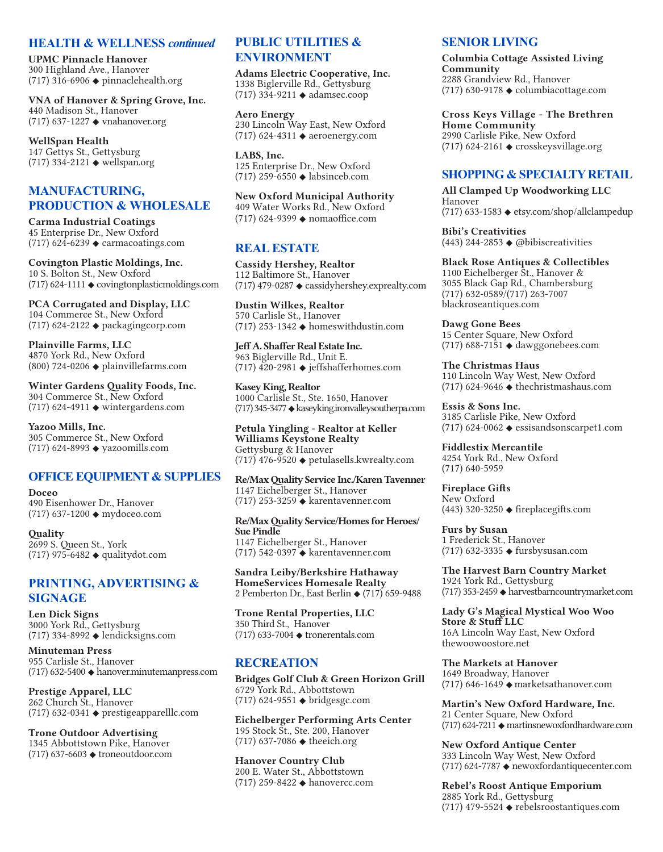#### **HEALTH & WELLNESS** *continued*

**UPMC Pinnacle Hanover** 300 Highland Ave., Hanover (717) 316-6906 ◆ pinnaclehealth.org

**VNA of Hanover & Spring Grove, Inc.** 440 Madison St., Hanover (717) 637-1227 ◆ vnahanover.org

**WellSpan Health** 147 Gettys St., Gettysburg  $(717)$  334-2121  $\blacklozenge$  wellspan.org

# **MANUFACTURING, PRODUCTION & WHOLESALE**

**Carma Industrial Coatings** 45 Enterprise Dr., New Oxford (717) 624-6239  $\triangle$  carmacoatings.com

**Covington Plastic Moldings, Inc.** 10 S. Bolton St., New Oxford (717) 624-1111 ◆ covingtonplasticmoldings.com

**PCA Corrugated and Display, LLC** 104 Commerce St., New Oxford (717) 624-2122 ◆ packagingcorp.com

**Plainville Farms, LLC** 4870 York Rd., New Oxford  $(800)$  724-0206  $\blacklozenge$  plainvillefarms.com

**Winter Gardens Quality Foods, Inc.** 304 Commerce St., New Oxford (717) 624-4911 ◆ wintergardens.com

**Yazoo Mills, Inc.** 305 Commerce St., New Oxford (717) 624-8993 ◆ yazoomills.com

## **OFFICE EQUIPMENT & SUPPLIES**

**Doceo** 490 Eisenhower Dr., Hanover (717) 637-1200 ◆ mydoceo.com

**Quality** 2699 S. Queen St., York (717) 975-6482 ◆ qualitydot.com

# **PRINTING, ADVERTISING & SIGNAGE**

**Len Dick Signs** 3000 York Rd., Gettysburg (717) 334-8992 ◆ lendicksigns.com

**Minuteman Press** 955 Carlisle St., Hanover (717) 632-5400 ◆ hanover.minutemanpress.com

**Prestige Apparel, LLC** 262 Church St., Hanover (717) 632-0341 ◆ prestigeapparelllc.com

**Trone Outdoor Advertising** 1345 Abbottstown Pike, Hanover (717) 637-6603 ◆ troneoutdoor.com

# **PUBLIC UTILITIES & ENVIRONMENT**

**Adams Electric Cooperative, Inc.** 1338 Biglerville Rd., Gettysburg (717) 334-9211 ◆ adamsec.coop

**Aero Energy** 230 Lincoln Way East, New Oxford (717) 624-4311 ◆ aeroenergy.com

**LABS, Inc.** 125 Enterprise Dr., New Oxford (717) 259-6550 ◆ labsinceb.com

**New Oxford Municipal Authority** 409 Water Works Rd., New Oxford (717) 624-9399 ◆ nomaoffice.com

# **REAL ESTATE**

**Cassidy Hershey, Realtor** 112 Baltimore St., Hanover (717) 479-0287 ◆ cassidyhershey.exprealty.com

**Dustin Wilkes, Realtor** 570 Carlisle St., Hanover (717) 253-1342 ◆ homeswithdustin.com

**Jeff A. Shaffer Real Estate Inc.** 963 Biglerville Rd., Unit E. (717)  $\overline{420}$ -2981  $\bullet$  jeffshafferhomes.com

**Kasey King, Realtor** 1000 Carlisle St., Ste. 1650, Hanover (717) 345-3477 ◆ kaseyking.ironvalleysoutherpa.com

**Petula Yingling - Realtor at Keller Williams Keystone Realty** Gettysburg & Hanover  $(717)$  476-9520  $\leftrightarrow$  petulasells.kwrealty.com

**Re/Max Quality Service Inc./Karen Tavenner** 1147 Eichelberger St., Hanover (717) 253-3259 ◆ karentavenner.com

**Re/Max Quality Service/Homes for Heroes/ Sue Pindle** 1147 Eichelberger St., Hanover (717) 542-0397 ◆ karentavenner.com

**Sandra Leiby/Berkshire Hathaway HomeServices Homesale Realty** 2 Pemberton Dr., East Berlin ◆ (717) 659-9488

**Trone Rental Properties, LLC** 350 Third St., Hanover (717) 633-7004 ◆ tronerentals.com

## **RECREATION**

**Bridges Golf Club & Green Horizon Grill** 6729 York Rd., Abbottstown (717) 624-9551 ◆ bridgesgc.com

**Eichelberger Performing Arts Center** 195 Stock St., Ste. 200, Hanover (717) 637-7086 ◆ theeich.org

**Hanover Country Club** 200 E. Water St., Abbottstown (717) 259-8422 ◆ hanovercc.com

### **SENIOR LIVING**

**Columbia Cottage Assisted Living Community** 2288 Grandview Rd., Hanover (717) 630-9178 ◆ columbiacottage.com

**Cross Keys Village - The Brethren Home Community** 2990 Carlisle Pike, New Oxford  $(717)$  624-2161  $\triangleleft$  crosskeysvillage.org

## **SHOPPING & SPECIALTY RETAIL**

**All Clamped Up Woodworking LLC** Hanover (717) 633-1583 ◆ etsy.com/shop/allclampedup

**Bibi's Creativities** (443) 244-2853  $\triangle$  @bibiscreativities

**Black Rose Antiques & Collectibles** 1100 Eichelberger St., Hanover & 3055 Black Gap Rd., Chambersburg (717) 632-0589/(717) 263-7007 blackroseantiques.com

**Dawg Gone Bees** 15 Center Square, New Oxford (717) 688-7151 ◆ dawggonebees.com

**The Christmas Haus** 110 Lincoln Way West, New Oxford (717) 624-9646 ◆ thechristmashaus.com

**Essis & Sons Inc.** 3185 Carlisle Pike, New Oxford (717) 624-0062 ◆ essisandsonscarpet1.com

**Fiddlestix Mercantile** 4254 York Rd., New Oxford (717) 640-5959

**Fireplace Gifts** New Oxford (443) 320-3250 ◆ fireplacegifts.com

**Furs by Susan** 1 Frederick St., Hanover (717) 632-3335 ◆ fursbysusan.com

**The Harvest Barn Country Market** 1924 York Rd., Gettysburg (717) 353-2459 ◆ harvestbarncountrymarket.com

**Lady G's Magical Mystical Woo Woo Store & Stuff LLC** 16A Lincoln Way East, New Oxford thewoowoostore.net

**The Markets at Hanover** 1649 Broadway, Hanover (717) 646-1649 ◆ marketsathanover.com

**Martin's New Oxford Hardware, Inc.** 21 Center Square, New Oxford  $(717)$  624-7211  $\bullet$  martinsnewoxfordhardware.com

**New Oxford Antique Center** 333 Lincoln Way West, New Oxford (717) 624-7787 ◆ newoxfordantiquecenter.com

**Rebel's Roost Antique Emporium** 2885 York Rd., Gettysburg (717) 479-5524 ◆ rebelsroostantiques.com